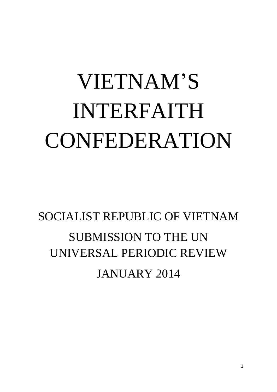# VIETNAM'S INTERFAITH CONFEDERATION

# SOCIALIST REPUBLIC OF VIETNAM SUBMISSION TO THE UN UNIVERSAL PERIODIC REVIEW JANUARY 2014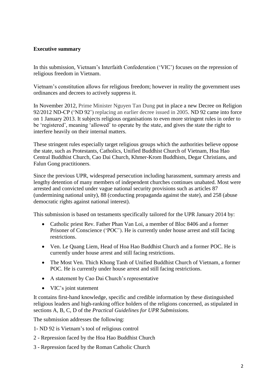# **Executive summary**

In this submission, Vietnam's Interfaith Confederation ('VIC') focuses on the repression of religious freedom in Vietnam.

Vietnam's constitution allows for religious freedom; however in reality the government uses ordinances and decrees to actively suppress it.

In November 2012, Prime Minister Nguyen Tan Dung put in place a new Decree on Religion 92/2012 ND-CP ('ND 92') replacing an earlier decree issued in 2005. ND 92 came into force on 1 January 2013. It subjects religious organisations to even more stringent rules in order to be 'registered', meaning 'allowed' to operate by the state, and gives the state the right to interfere heavily on their internal matters.

These stringent rules especially target religious groups which the authorities believe oppose the state, such as Protestants, Catholics, Unified Buddhist Church of Vietnam, Hoa Hao Central Buddhist Church, Cao Dai Church, Khmer-Krom Buddhists, Degar Christians, and Falun Gong practitioners.

Since the previous UPR, widespread persecution including harassment, summary arrests and lengthy detention of many members of independent churches continues unabated. Most were arrested and convicted under vague national security provisions such as articles 87 (undermining national unity), 88 (conducting propaganda against the state), and 258 (abuse democratic rights against national interest).

This submission is based on testaments specifically tailored for the UPR January 2014 by:

- Catholic priest Rev. Father Phan Van Loi, a member of Bloc 8406 and a former Prisoner of Conscience ('POC'). He is currently under house arrest and still facing restrictions.
- Ven. Le Quang Liem, Head of Hoa Hao Buddhist Church and a former POC. He is currently under house arrest and still facing restrictions.
- The Most Ven. Thich Khong Tanh of Unified Buddhist Church of Vietnam, a former POC. He is currently under house arrest and still facing restrictions.
- A statement by Cao Dai Church's representative
- VIC's joint statement

It contains first-hand knowledge, specific and credible information by these distinguished religious leaders and high-ranking office holders of the religions concerned, as stipulated in sections A, B, C, D of the *Practical Guidelines for UPR Submissions.*

The submission addresses the following:

- 1- ND 92 is Vietnam's tool of religious control
- 2 Repression faced by the Hoa Hao Buddhist Church
- 3 Repression faced by the Roman Catholic Church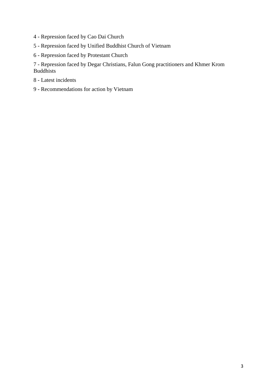- 4 Repression faced by Cao Dai Church
- 5 Repression faced by Unified Buddhist Church of Vietnam
- 6 Repression faced by Protestant Church

7 - Repression faced by Degar Christians, Falun Gong practitioners and Khmer Krom Buddhists

- 8 Latest incidents
- 9 Recommendations for action by Vietnam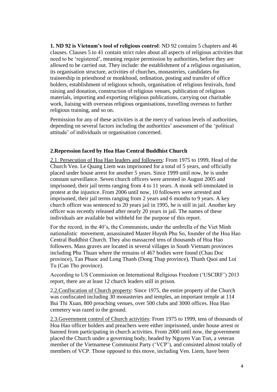**1. ND 92 is Vietnam's tool of religious control**: ND 92 contains 5 chapters and 46 clauses. Clauses 5 to 41 contain strict rules about all aspects of religious activities that need to be 'registered', meaning require permission by authorities, before they are allowed to be carried out. They include: the establishment of a religious organisation, its organisation structure, activities of churches, monasteries, candidates for traineeship in priesthood or monkhood, ordination, posting and transfer of office holders, establishment of religious schools, organisation of religious festivals, fund raising and donation, construction of religious venues, publication of religious materials, importing and exporting religious publications, carrying out charitable work, liaising with overseas religious organisations, travelling overseas to further religious training, and so on.

Permission for any of these activities is at the mercy of various levels of authorities, depending on several factors including the authorities' assessment of the 'political attitude' of individuals or organisation concerned.

# **2.Repression faced by Hoa Hao Central Buddhist Church**

2.1. Persecution of Hoa Hao leaders and followers: From 1975 to 1999, Head of the Church Ven. Le Quang Liem was imprisoned for a total of 5 years, and officially placed under house arrest for another 5 years. Since 1999 until now, he is under constant surveillance. Seven church officers were arrested in August 2005 and imprisoned, their jail terms ranging from 4 to 11 years. A monk self-immolated in protest at the injustice. From 2006 until now, 10 followers were arrested and imprisoned, their jail terms ranging from 2 years and 6 months to 9 years. A key church officer was sentenced to 20 years jail in 1995, he is still in jail. Another key officer was recently released after nearly 20 years in jail. The names of these individuals are available but withheld for the purpose of this report.

For the record, in the 40's, the Communists, under the umbrella of the Viet Minh nationalistic movement, assassinated Master Huynh Phu So, founder of the Hoa Hao Central Buddhist Church. They also massacred tens of thousands of Hoa Hao followers. Mass graves are located in several villages in South Vietnam provinces including Phu Thuan where the remains of 467 bodies were found (Chau Doc province), Tan Phuoc and Long Thanh (Dong Thap province), Thanh Quoi and Loi Tu (Can Tho province).

According to US Commission on International Religious Freedom ('USCIRF') 2013 report, there are at least 12 church leaders still in prison.

2.2.Confiscation of Church property: Since 1975, the entire property of the Church was confiscated including 30 monasteries and temples, an important temple at 114 Bui Thi Xuan, 800 preaching venues, over 500 clubs and 3000 offices. Hoa Hao cemetery was razed to the ground.

2.3.Government control of Church activities: From 1975 to 1999, tens of thousands of Hoa Hao officer holders and preachers were either imprisoned, under house arrest or banned from participating in church activities. From 2000 until now, the government placed the Church under a governing body, headed by Nguyen Van Ton, a veteran member of the Vietnamese Communist Party ('VCP'), and consisted almost totally of members of VCP. Those opposed to this move, including Ven. Liem, have been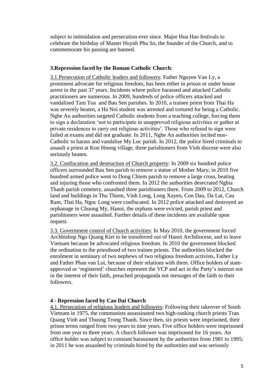subject to intimidation and persecution ever since. Major Hoa Hao festivals to celebrate the birthday of Master Huynh Phu So, the founder of the Church, and to commemorate his passing are banned.

# **3.Repression faced by the Roman Catholic Church**:

3.1.Persecution of Catholic leaders and followers: Father Nguyen Van Ly, a prominent advocate for religious freedom, has been either in prison or under house arrest in the past 37 years. Incidents where police harassed and attacked Catholic practitioners are numerous. In 2009, hundreds of police officers attacked and vandalised Tam Toa and Bau Sen parishes. In 2010, a trainee priest from Thai Ha was severely beaten, a Ha Noi student was arrested and tortured for being a Catholic. Nghe An authorities targeted Catholic students from a teaching college, forcing them to sign a declaration 'not to participate in unapproved religious activities or gather at private residences to carry out religious activities'. Those who refused to sign were failed at exams and did not graduate. In 2011, Nghe An authorities incited non-Catholic to harass and vandalise My Loc parish. In 2012, the police hired criminals to assault a priest at Kon Hnong village, three parishioners from Vinh diocese were also seriously beaten.

3.2. Confiscation and destruction of Church property: In 2009 six hundred police officers surrounded Bau Sen parish to remove a statue of Mother Mary; in 2010 five hundred armed police went to Dong Chiem parish to remove a large cross, beating and injuring those who confronted them. In 2012 the authorities desecrated Nghia Thanh parish cemetery, assaulted three parishioners there. From 2009 to 2012, Church land and buildings in Thu Thiem, Vinh Long, Long Xuyen, Con Dau, Da Lat, Cau Ram, Thai Ha, Ngoc Long were confiscated. In 2012 police attacked and destroyed an orphanage in Chuong My, Hanoi, the orphans were evicted, parish priest and parishioners were assaulted. Further details of these incidents are available upon request.

3.3. Government control of Church activities: In May 2010, the government forced Archbishop Ngo Quang Kiet to be transferred out of Hanoi Archdiocese, and to leave Vietnam because he advocated religious freedom. In 2010 the government blocked the ordination to the priesthood of two trainee priests. The authorities blocked the enrolment in seminary of two nephews of two religious freedom activists, Father Ly and Father Phan van Loi, because of their relations with them. Office holders of stateapproved or 'registered' churches represent the VCP and act in the Party's interest not in the interest of their faith, preached propaganda not messages of the faith to their followers.

#### **4 - Repression faced by Cao Dai Church**

4.1. Persecution of religious leaders and followers: Following their takeover of South Vietnam in 1975, the communists assassinated two high-ranking church priests Tran Quang Vinh and Thuong Trong Thanh. Since then, six priests were imprisoned, their prison terms ranged from two years to nine years. Five office holders were imprisoned from one year to three years. A church follower was imprisoned for 16 years. An office holder was subject to constant harassment by the authorities from 1981 to 1995; in 2011 he was assaulted by criminals hired by the authorities and was seriously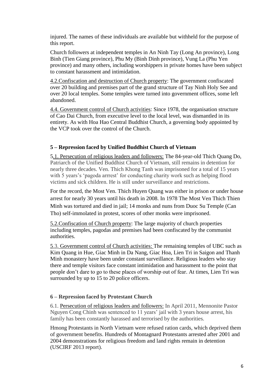injured. The names of these individuals are available but withheld for the purpose of this report.

Church followers at independent temples in An Ninh Tay (Long An province), Long Binh (Tien Giang province), Phu My (Binh Dinh province), Vung La (Phu Yen province) and many others, including worshippers in private homes have been subject to constant harassment and intimidation.

4.2.Confiscation and destruction of Church property: The government confiscated over 20 building and premises part of the grand structure of Tay Ninh Holy See and over 20 local temples. Some temples were turned into government offices, some left abandoned.

4.4. Government control of Church activities: Since 1978, the organisation structure of Cao Dai Church, from executive level to the local level, was dismantled in its entirety. As with Hoa Hao Central Buddhist Church, a governing body appointed by the VCP took over the control of the Church.

# **5 – Repression faced by Unified Buddhist Church of Vietnam**

5.1. Persecution of religious leaders and followers: The 84-year-old Thich Quang Do, Patriarch of the Unified Buddhist Church of Vietnam, still remains in detention for nearly three decades. Ven. Thich Khong Tanh was imprisoned for a total of 15 years with 5 years's 'pagoda arrrest' for conducting charity work such as helping flood victims and sick children. He is still under surveillance and restrictions.

For the record, the Most Ven. Thich Huyen Quang was either in prison or under house arrest for nearly 30 years until his death in 2008. In 1978 The Most Ven Thich Thien Minh was tortured and died in jail; 14 monks and nuns from Duoc Su Temple (Can Tho) self-immolated in protest, scores of other monks were imprisoned.

5.2.Confiscation of Church property: The large majority of church properties including temples, pagodas and premises had been confiscated by the communist authorities.

5.3. Government control of Church activities: The remaining temples of UBC such as Kim Quang in Hue, Giac Minh in Da Nang, Giac Hoa, Lien Tri in Saigon and Thanh Minh monastery have been under constant surveillance. Religious leaders who stay there and temple visitors face constant intimidation and harassment to the point that people don't dare to go to these places of worship out of fear. At times, Lien Tri was surrounded by up to 15 to 20 police officers.

# **6 – Repression faced by Protestant Church**

6.1. Persecution of religious leaders and followers: In April 2011, Mennonite Pastor Nguyen Cong Chinh was sentenced to 11 years' jail with 3 years house arrest, his family has been constantly harassed and terrorised by the authorities.

Hmong Protestants in North Vietnam were refused ration cards, which deprived them of government benefits. Hundreds of Montagnard Protestants arrested after 2001 and 2004 demonstrations for religious freedom and land rights remain in detention (USCIRF 2013 report).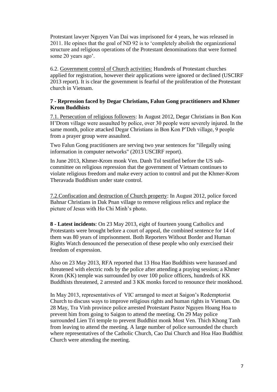Protestant lawyer Nguyen Van Dai was imprisoned for 4 years, he was released in 2011. He opines that the goal of ND 92 is to 'completely abolish the organizational structure and religious operations of the Protestant denominations that were formed some 20 years ago'.

6.2. Government control of Church activities: Hundreds of Protestant churches applied for registration, however their applications were ignored or declined (USCIRF 2013 report). It is clear the government is fearful of the proliferation of the Protestant church in Vietnam.

### **7 - Repression faced by Degar Christians, Falun Gong practitioners and Khmer Krom Buddhists**

7.1. Persecution of religious followers: In August 2012, Degar Christians in Bon Kon H'Drom village were assaulted by police, over 30 people were severely injured. In the same month, police attacked Degar Christians in Bon Kon P'Deh village, 9 people from a prayer group were assaulted.

Two Falun Gong practitioners are serving two year sentences for "illegally using information in computer networks" (2013 USCIRF report).

In June 2013, Khmer-Krom monk Ven. Danh Tol testified before the US subcommittee on religious repression that the government of Vietnam continues to violate religious freedom and make every action to control and put the Khmer-Krom Theravada Buddhism under state control.

7.2.Confiscation and destruction of Church property: In August 2012, police forced Bahnar Christians in Dak Pnan village to remove religious relics and replace the picture of Jesus with Ho Chi Minh's photo.

**8 - Latest incidents**: On 23 May 2013, eight of fourteen young Catholics and Protestants were brought before a court of appeal, the combined sentence for 14 of them was 80 years of imprisonment. Both Reporters Without Border and Human Rights Watch denounced the persecution of these people who only exercised their freedom of expression.

Also on 23 May 2013, RFA reported that 13 Hoa Hao Buddhists were harassed and threatened with electric rods by the police after attending a praying session; a Khmer Krom (KK) temple was surrounded by over 100 police officers, hundreds of KK Buddhists threatened, 2 arrested and 3 KK monks forced to renounce their monkhood.

In May 2013, representatives of VIC arranged to meet at Saigon's Redemptorist Church to discuss ways to improve religious rights and human rights in Vietnam. On 28 May, Tra Vinh province police arrested Protestant Pastor Nguyen Hoang Hoa to prevent him from going to Saigon to attend the meeting. On 29 May police surrounded Lien Tri temple to prevent Buddhist monk Most Ven. Thich Khong Tanh from leaving to attend the meeting. A large number of police surrounded the church where representatives of the Catholic Church, Cao Dai Church and Hoa Hao Buddhist Church were attending the meeting.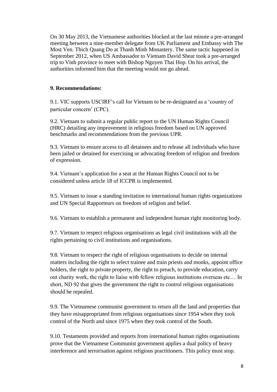On 30 May 2013, the Vietnamese authorities blocked at the last minute a pre-arranged meeting between a nine-member delegate from UK Parliament and Embassy with The Most Ven. Thich Quang Do at Thanh Minh Monastery. The same tactic happened in September 2012, when US Ambassador to Vietnam David Shear took a pre-arranged trip to Vinh province to meet with Bishop Nguyen Thai Hop. On his arrival, the authorities informed him that the meeting would not go ahead.

#### **9. Recommendations:**

9.1. VIC supports USCIRF's call for Vietnam to be re-designated as a 'country of particular concern' (CPC).

9.2. Vietnam to submit a regular public report to the UN Human Rights Council (HRC) detailing any improvement in religious freedom based on UN approved benchmarks and recommendations from the previous UPR.

9.3. Vietnam to ensure access to all detainees and to release all individuals who have been jailed or detained for exercising or advocating freedom of religion and freedom of expression.

9.4. Vietnam's application for a seat at the Human Rights Council not to be considered unless article 18 of ICCPR is implemented.

9.5. Vietnam to issue a standing invitation to international human rights organizations and UN Special Rapporteurs on freedom of religion and belief.

9.6. Vietnam to establish a permanent and independent human right monitoring body.

9.7. Vietnam to respect religious organisations as legal civil institutions with all the rights pertaining to civil institutions and organisations.

9.8. Vietnam to respect the right of religious organisations to decide on internal matters including the right to select trainee and train priests and monks, appoint office holders, the right to private property, the right to preach, to provide education, carry out charity work, the right to liaise with fellow religious institutions overseas etc… In short, ND 92 that gives the government the right to control religious organisations should be repealed.

9.9. The Vietnamese communist government to return all the land and properties that they have misappropriated from religious organisations since 1954 when they took control of the North and since 1975 when they took control of the South.

9.10. Testaments provided and reports from international human rights organisations prove that the Vietnamese Communist government applies a dual policy of heavy interference and terrorisation against religious practitioners. This policy must stop.